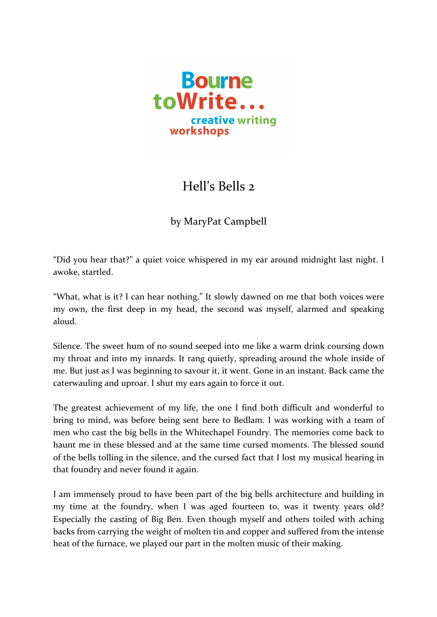

## Hell's Bells 2

by MaryPat Campbell

"Did you hear that?" a quiet voice whispered in my ear around midnight last night. I awoke, startled.

"What, what is it? I can hear nothing." It slowly dawned on me that both voices were my own, the first deep in my head, the second was myself, alarmed and speaking aloud.

Silence. The sweet hum of no sound seeped into me like a warm drink coursing down my throat and into my innards. It rang quietly, spreading around the whole inside of me. But just as I was beginning to savour it, it went. Gone in an instant. Back came the caterwauling and uproar. I shut my ears again to force it out.

The greatest achievement of my life, the one I find both difficult and wonderful to bring to mind, was before being sent here to Bedlam. I was working with a team of men who cast the big bells in the Whitechapel Foundry. The memories come back to haunt me in these blessed and at the same time cursed moments. The blessed sound of the bells tolling in the silence, and the cursed fact that I lost my musical hearing in that foundry and never found it again.

I am immensely proud to have been part of the big bells architecture and building in my time at the foundry, when I was aged fourteen to, was it twenty years old? Especially the casting of Big Ben. Even though myself and others toiled with aching backs from carrying the weight of molten tin and copper and suffered from the intense heat of the furnace, we played our part in the molten music of their making.